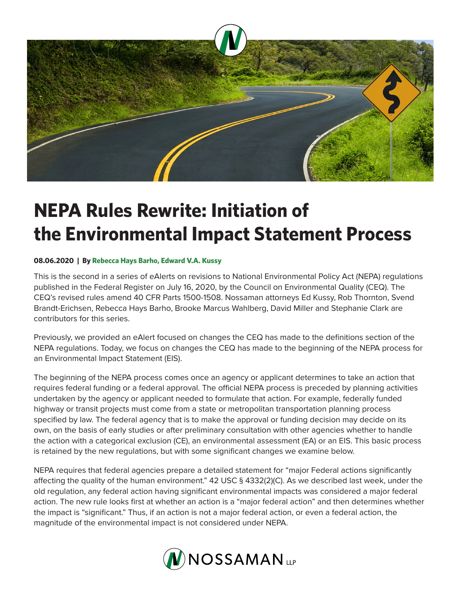

# **NEPA Rules Rewrite: Initiation of the Environmental Impact Statement Process**

# **08.06.2020 | By Rebecca Hays Barho, Edward V.A. Kussy**

This is the second in a series of eAlerts on revisions to National Environmental Policy Act (NEPA) regulations published in the Federal Register on July 16, 2020, by the Council on Environmental Quality (CEQ). The CEQ's revised rules amend 40 CFR Parts 1500-1508. Nossaman attorneys Ed Kussy, Rob Thornton, Svend Brandt-Erichsen, Rebecca Hays Barho, Brooke Marcus Wahlberg, David Miller and Stephanie Clark are contributors for this series.

Previously, we provided an eAlert focused on changes the CEQ has made to the definitions section of the NEPA regulations. Today, we focus on changes the CEQ has made to the beginning of the NEPA process for an Environmental Impact Statement (EIS).

The beginning of the NEPA process comes once an agency or applicant determines to take an action that requires federal funding or a federal approval. The official NEPA process is preceded by planning activities undertaken by the agency or applicant needed to formulate that action. For example, federally funded highway or transit projects must come from a state or metropolitan transportation planning process specified by law. The federal agency that is to make the approval or funding decision may decide on its own, on the basis of early studies or after preliminary consultation with other agencies whether to handle the action with a categorical exclusion (CE), an environmental assessment (EA) or an EIS. This basic process is retained by the new regulations, but with some significant changes we examine below.

NEPA requires that federal agencies prepare a detailed statement for "major Federal actions significantly affecting the quality of the human environment." 42 USC § 4332(2)(C). As we described last week, under the old regulation, any federal action having significant environmental impacts was considered a major federal action. The new rule looks first at whether an action is a "major federal action" and then determines whether the impact is "significant." Thus, if an action is not a major federal action, or even a federal action, the magnitude of the environmental impact is not considered under NEPA.

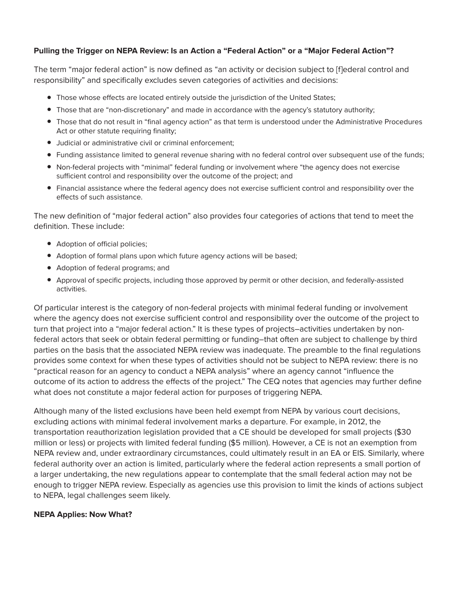#### **Pulling the Trigger on NEPA Review: Is an Action a "Federal Action" or a "Major Federal Action"?**

The term "major federal action" is now defined as "an activity or decision subject to [f]ederal control and responsibility" and specifically excludes seven categories of activities and decisions:

- Those whose effects are located entirely outside the jurisdiction of the United States;
- Those that are "non-discretionary" and made in accordance with the agency's statutory authority;
- Those that do not result in "final agency action" as that term is understood under the Administrative Procedures Act or other statute requiring finality;
- Judicial or administrative civil or criminal enforcement;
- Funding assistance limited to general revenue sharing with no federal control over subsequent use of the funds;
- Non-federal projects with "minimal" federal funding or involvement where "the agency does not exercise sufficient control and responsibility over the outcome of the project; and
- Financial assistance where the federal agency does not exercise sufficient control and responsibility over the effects of such assistance.

The new definition of "major federal action" also provides four categories of actions that tend to meet the definition. These include:

- Adoption of official policies;
- Adoption of formal plans upon which future agency actions will be based;
- Adoption of federal programs; and
- Approval of specific projects, including those approved by permit or other decision, and federally-assisted activities.

Of particular interest is the category of non-federal projects with minimal federal funding or involvement where the agency does not exercise sufficient control and responsibility over the outcome of the project to turn that project into a "major federal action." It is these types of projects–activities undertaken by nonfederal actors that seek or obtain federal permitting or funding–that often are subject to challenge by third parties on the basis that the associated NEPA review was inadequate. The preamble to the final regulations provides some context for when these types of activities should not be subject to NEPA review: there is no "practical reason for an agency to conduct a NEPA analysis" where an agency cannot "influence the outcome of its action to address the effects of the project." The CEQ notes that agencies may further define what does not constitute a major federal action for purposes of triggering NEPA.

Although many of the listed exclusions have been held exempt from NEPA by various court decisions, excluding actions with minimal federal involvement marks a departure. For example, in 2012, the transportation reauthorization legislation provided that a CE should be developed for small projects (\$30 million or less) or projects with limited federal funding (\$5 million). However, a CE is not an exemption from NEPA review and, under extraordinary circumstances, could ultimately result in an EA or EIS. Similarly, where federal authority over an action is limited, particularly where the federal action represents a small portion of a larger undertaking, the new regulations appear to contemplate that the small federal action may not be enough to trigger NEPA review. Especially as agencies use this provision to limit the kinds of actions subject to NEPA, legal challenges seem likely.

#### **NEPA Applies: Now What?**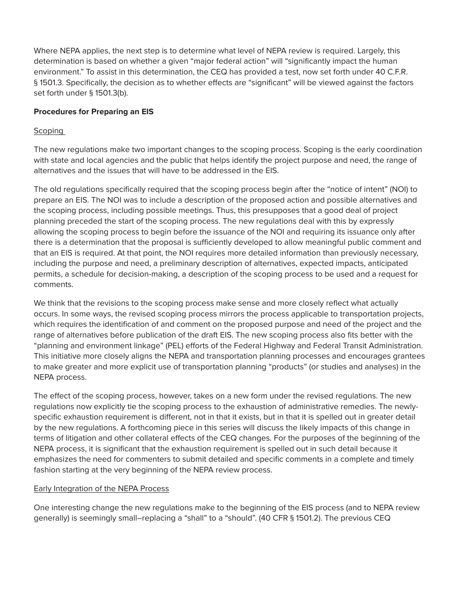Where NEPA applies, the next step is to determine what level of NEPA review is required. Largely, this determination is based on whether a given "major federal action" will "significantly impact the human environment." To assist in this determination, the CEQ has provided a test, now set forth under 40 C.F.R. § 1501.3. Specifically, the decision as to whether effects are "significant" will be viewed against the factors set forth under § 1501.3(b).

# **Procedures for Preparing an EIS**

# Scoping

The new regulations make two important changes to the scoping process. Scoping is the early coordination with state and local agencies and the public that helps identify the project purpose and need, the range of alternatives and the issues that will have to be addressed in the EIS.

The old regulations specifically required that the scoping process begin after the "notice of intent" (NOI) to prepare an EIS. The NOI was to include a description of the proposed action and possible alternatives and the scoping process, including possible meetings. Thus, this presupposes that a good deal of project planning preceded the start of the scoping process. The new regulations deal with this by expressly allowing the scoping process to begin before the issuance of the NOI and requiring its issuance only after there is a determination that the proposal is sufficiently developed to allow meaningful public comment and that an EIS is required. At that point, the NOI requires more detailed information than previously necessary, including the purpose and need, a preliminary description of alternatives, expected impacts, anticipated permits, a schedule for decision-making, a description of the scoping process to be used and a request for comments.

We think that the revisions to the scoping process make sense and more closely reflect what actually occurs. In some ways, the revised scoping process mirrors the process applicable to transportation projects, which requires the identification of and comment on the proposed purpose and need of the project and the range of alternatives before publication of the draft EIS. The new scoping process also fits better with the "planning and environment linkage" (PEL) efforts of the Federal Highway and Federal Transit Administration. This initiative more closely aligns the NEPA and transportation planning processes and encourages grantees to make greater and more explicit use of transportation planning "products" (or studies and analyses) in the NEPA process.

The effect of the scoping process, however, takes on a new form under the revised regulations. The new regulations now explicitly tie the scoping process to the exhaustion of administrative remedies. The newlyspecific exhaustion requirement is different, not in that it exists, but in that it is spelled out in greater detail by the new regulations. A forthcoming piece in this series will discuss the likely impacts of this change in terms of litigation and other collateral effects of the CEQ changes. For the purposes of the beginning of the NEPA process, it is significant that the exhaustion requirement is spelled out in such detail because it emphasizes the need for commenters to submit detailed and specific comments in a complete and timely fashion starting at the very beginning of the NEPA review process.

# **Early Integration of the NEPA Process**

One interesting change the new regulations make to the beginning of the EIS process (and to NEPA review generally) is seemingly small–replacing a "shall" to a "should". (40 CFR § 1501.2). The previous CEQ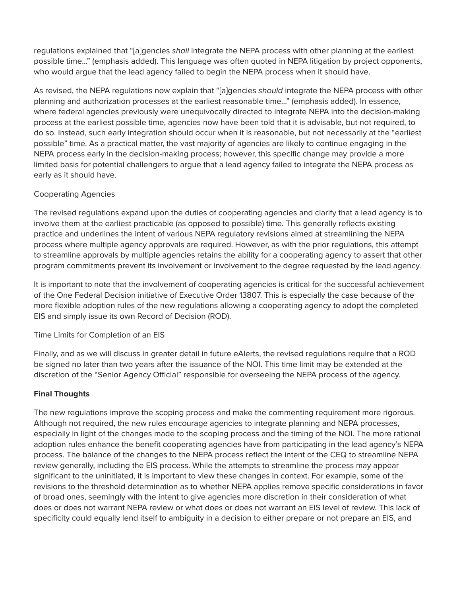regulations explained that "[a]gencies *shall* integrate the NEPA process with other planning at the earliest possible time…" (emphasis added). This language was often quoted in NEPA litigation by project opponents, who would argue that the lead agency failed to begin the NEPA process when it should have.

As revised, the NEPA regulations now explain that "[a]gencies *should* integrate the NEPA process with other planning and authorization processes at the earliest reasonable time…" (emphasis added). In essence, where federal agencies previously were unequivocally directed to integrate NEPA into the decision-making process at the earliest possible time, agencies now have been told that it is advisable, but not required, to do so. Instead, such early integration should occur when it is reasonable, but not necessarily at the "earliest possible" time. As a practical matter, the vast majority of agencies are likely to continue engaging in the NEPA process early in the decision-making process; however, this specific change may provide a more limited basis for potential challengers to argue that a lead agency failed to integrate the NEPA process as early as it should have.

# Cooperating Agencies

The revised regulations expand upon the duties of cooperating agencies and clarify that a lead agency is to involve them at the earliest practicable (as opposed to possible) time. This generally reflects existing practice and underlines the intent of various NEPA regulatory revisions aimed at streamlining the NEPA process where multiple agency approvals are required. However, as with the prior regulations, this attempt to streamline approvals by multiple agencies retains the ability for a cooperating agency to assert that other program commitments prevent its involvement or involvement to the degree requested by the lead agency.

It is important to note that the involvement of cooperating agencies is critical for the successful achievement of the One Federal Decision initiative of Executive Order 13807. This is especially the case because of the more flexible adoption rules of the new regulations allowing a cooperating agency to adopt the completed EIS and simply issue its own Record of Decision (ROD).

# Time Limits for Completion of an EIS

Finally, and as we will discuss in greater detail in future eAlerts, the revised regulations require that a ROD be signed no later than two years after the issuance of the NOI. This time limit may be extended at the discretion of the "Senior Agency Official" responsible for overseeing the NEPA process of the agency.

# **Final Thoughts**

The new regulations improve the scoping process and make the commenting requirement more rigorous. Although not required, the new rules encourage agencies to integrate planning and NEPA processes, especially in light of the changes made to the scoping process and the timing of the NOI. The more rational adoption rules enhance the benefit cooperating agencies have from participating in the lead agency's NEPA process. The balance of the changes to the NEPA process reflect the intent of the CEQ to streamline NEPA review generally, including the EIS process. While the attempts to streamline the process may appear significant to the uninitiated, it is important to view these changes in context. For example, some of the revisions to the threshold determination as to whether NEPA applies remove specific considerations in favor of broad ones, seemingly with the intent to give agencies more discretion in their consideration of what does or does not warrant NEPA review or what does or does not warrant an EIS level of review. This lack of specificity could equally lend itself to ambiguity in a decision to either prepare or not prepare an EIS, and